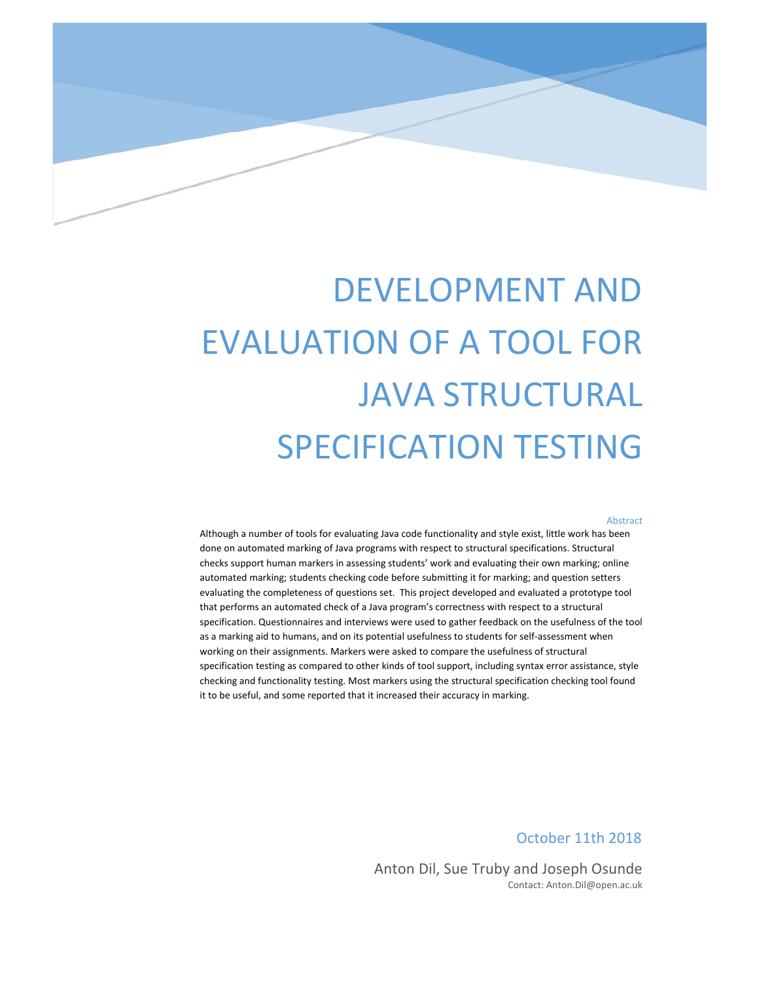

# DEVELOPMENT AND EVALUATION OF A TOOL FOR JAVA STRUCTURAL SPECIFICATION TESTING

#### Abstract

Although a number of tools for evaluating Java code functionality and style exist, little work has been done on automated marking of Java programs with respect to structural specifications. Structural checks support human markers in assessing students' work and evaluating their own marking; online automated marking; students checking code before submitting it for marking; and question setters evaluating the completeness of questions set. This project developed and evaluated a prototype tool that performs an automated check of a Java program's correctness with respect to a structural specification. Questionnaires and interviews were used to gather feedback on the usefulness of the tool as a marking aid to humans, and on its potential usefulness to students for self‐assessment when working on their assignments. Markers were asked to compare the usefulness of structural specification testing as compared to other kinds of tool support, including syntax error assistance, style checking and functionality testing. Most markers using the structural specification checking tool found it to be useful, and some reported that it increased their accuracy in marking.

October 11th 2018

Anton Dil, Sue Truby and Joseph Osunde Contact: Anton.Dil@open.ac.uk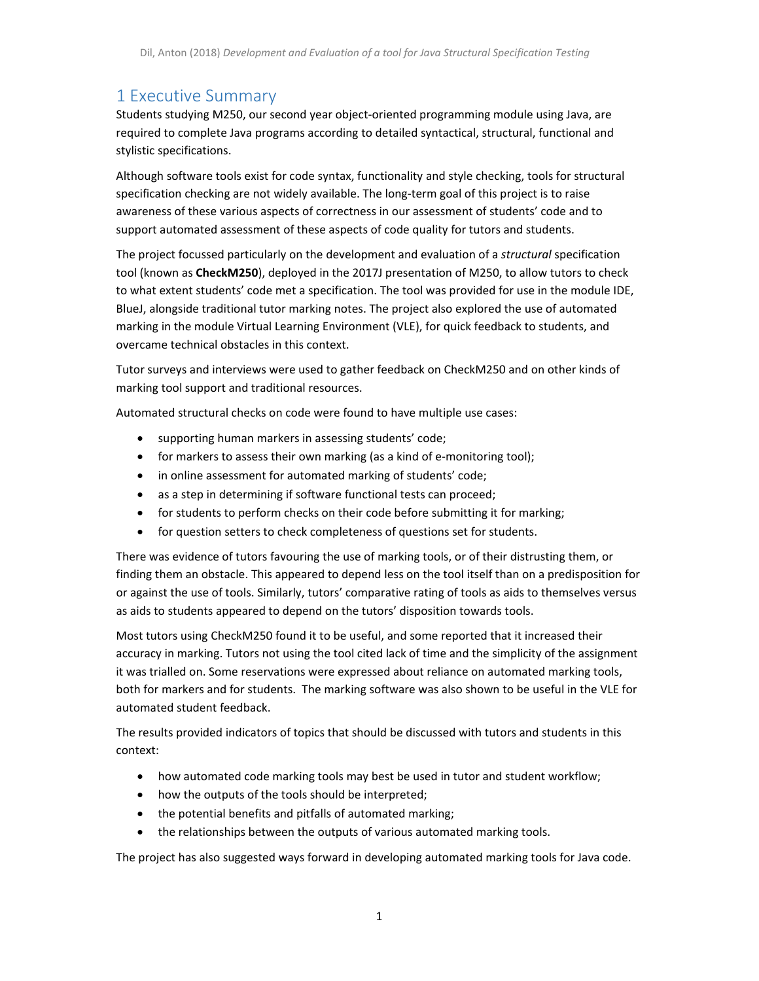# 1 Executive Summary

Students studying M250, our second year object‐oriented programming module using Java, are required to complete Java programs according to detailed syntactical, structural, functional and stylistic specifications.

Although software tools exist for code syntax, functionality and style checking, tools for structural specification checking are not widely available. The long-term goal of this project is to raise awareness of these various aspects of correctness in our assessment of students' code and to support automated assessment of these aspects of code quality for tutors and students.

The project focussed particularly on the development and evaluation of a *structural* specification tool (known as **CheckM250**), deployed in the 2017J presentation of M250, to allow tutors to check to what extent students' code met a specification. The tool was provided for use in the module IDE, BlueJ, alongside traditional tutor marking notes. The project also explored the use of automated marking in the module Virtual Learning Environment (VLE), for quick feedback to students, and overcame technical obstacles in this context.

Tutor surveys and interviews were used to gather feedback on CheckM250 and on other kinds of marking tool support and traditional resources.

Automated structural checks on code were found to have multiple use cases:

- supporting human markers in assessing students' code;
- for markers to assess their own marking (as a kind of e-monitoring tool);
- in online assessment for automated marking of students' code;
- as a step in determining if software functional tests can proceed;
- for students to perform checks on their code before submitting it for marking;
- for question setters to check completeness of questions set for students.

There was evidence of tutors favouring the use of marking tools, or of their distrusting them, or finding them an obstacle. This appeared to depend less on the tool itself than on a predisposition for or against the use of tools. Similarly, tutors' comparative rating of tools as aids to themselves versus as aids to students appeared to depend on the tutors' disposition towards tools.

Most tutors using CheckM250 found it to be useful, and some reported that it increased their accuracy in marking. Tutors not using the tool cited lack of time and the simplicity of the assignment it was trialled on. Some reservations were expressed about reliance on automated marking tools, both for markers and for students. The marking software was also shown to be useful in the VLE for automated student feedback.

The results provided indicators of topics that should be discussed with tutors and students in this context:

- how automated code marking tools may best be used in tutor and student workflow;
- how the outputs of the tools should be interpreted;
- the potential benefits and pitfalls of automated marking;
- the relationships between the outputs of various automated marking tools.

The project has also suggested ways forward in developing automated marking tools for Java code.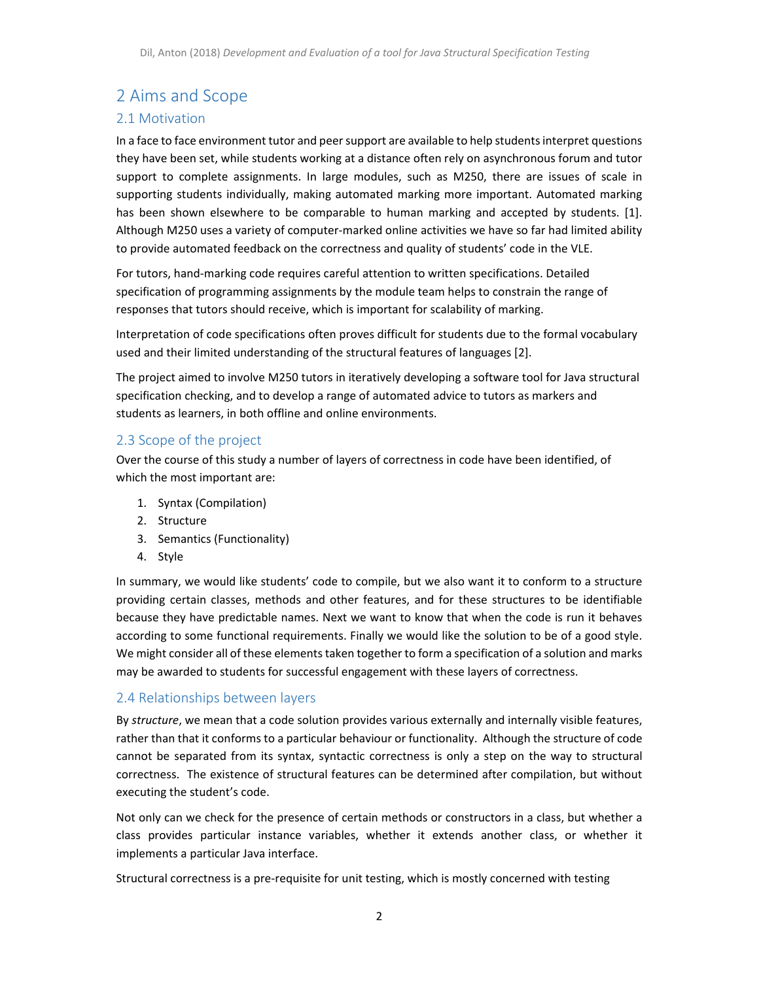# 2 Aims and Scope

## 2.1 Motivation

In a face to face environment tutor and peersupport are available to help studentsinterpret questions they have been set, while students working at a distance often rely on asynchronous forum and tutor support to complete assignments. In large modules, such as M250, there are issues of scale in supporting students individually, making automated marking more important. Automated marking has been shown elsewhere to be comparable to human marking and accepted by students. [1]. Although M250 uses a variety of computer‐marked online activities we have so far had limited ability to provide automated feedback on the correctness and quality of students' code in the VLE.

For tutors, hand‐marking code requires careful attention to written specifications. Detailed specification of programming assignments by the module team helps to constrain the range of responses that tutors should receive, which is important for scalability of marking.

Interpretation of code specifications often proves difficult for students due to the formal vocabulary used and their limited understanding of the structural features of languages [2].

The project aimed to involve M250 tutors in iteratively developing a software tool for Java structural specification checking, and to develop a range of automated advice to tutors as markers and students as learners, in both offline and online environments.

## 2.3 Scope of the project

Over the course of this study a number of layers of correctness in code have been identified, of which the most important are:

- 1. Syntax (Compilation)
- 2. Structure
- 3. Semantics (Functionality)
- 4. Style

In summary, we would like students' code to compile, but we also want it to conform to a structure providing certain classes, methods and other features, and for these structures to be identifiable because they have predictable names. Next we want to know that when the code is run it behaves according to some functional requirements. Finally we would like the solution to be of a good style. We might consider all of these elements taken together to form a specification of a solution and marks may be awarded to students for successful engagement with these layers of correctness.

#### 2.4 Relationships between layers

By *structure*, we mean that a code solution provides various externally and internally visible features, rather than that it conforms to a particular behaviour or functionality. Although the structure of code cannot be separated from its syntax, syntactic correctness is only a step on the way to structural correctness. The existence of structural features can be determined after compilation, but without executing the student's code.

Not only can we check for the presence of certain methods or constructors in a class, but whether a class provides particular instance variables, whether it extends another class, or whether it implements a particular Java interface.

Structural correctness is a pre‐requisite for unit testing, which is mostly concerned with testing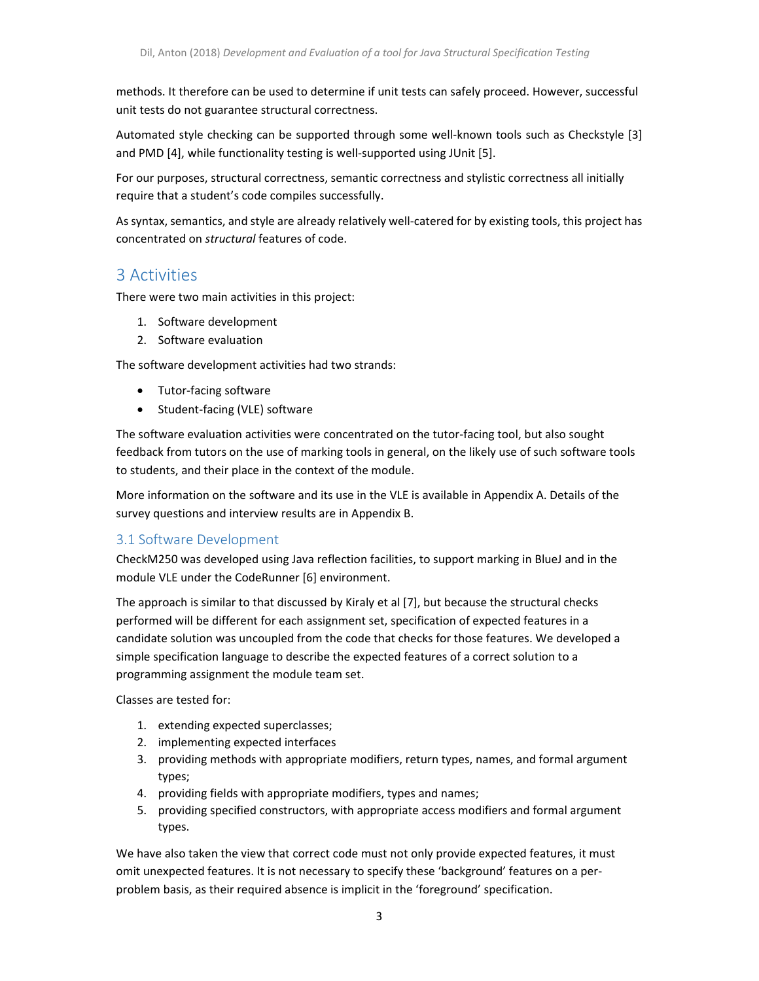methods. It therefore can be used to determine if unit tests can safely proceed. However, successful unit tests do not guarantee structural correctness.

Automated style checking can be supported through some well-known tools such as Checkstyle [3] and PMD [4], while functionality testing is well-supported using JUnit [5].

For our purposes, structural correctness, semantic correctness and stylistic correctness all initially require that a student's code compiles successfully.

Assyntax, semantics, and style are already relatively well‐catered for by existing tools, this project has concentrated on *structural* features of code.

# 3 Activities

There were two main activities in this project:

- 1. Software development
- 2. Software evaluation

The software development activities had two strands:

- Tutor-facing software
- Student-facing (VLE) software

The software evaluation activities were concentrated on the tutor-facing tool, but also sought feedback from tutors on the use of marking tools in general, on the likely use of such software tools to students, and their place in the context of the module.

More information on the software and its use in the VLE is available in Appendix A. Details of the survey questions and interview results are in Appendix B.

## 3.1 Software Development

CheckM250 was developed using Java reflection facilities, to support marking in BlueJ and in the module VLE under the CodeRunner [6] environment.

The approach is similar to that discussed by Kiraly et al [7], but because the structural checks performed will be different for each assignment set, specification of expected features in a candidate solution was uncoupled from the code that checks for those features. We developed a simple specification language to describe the expected features of a correct solution to a programming assignment the module team set.

Classes are tested for:

- 1. extending expected superclasses;
- 2. implementing expected interfaces
- 3. providing methods with appropriate modifiers, return types, names, and formal argument types;
- 4. providing fields with appropriate modifiers, types and names;
- 5. providing specified constructors, with appropriate access modifiers and formal argument types.

We have also taken the view that correct code must not only provide expected features, it must omit unexpected features. It is not necessary to specify these 'background' features on a per‐ problem basis, as their required absence is implicit in the 'foreground' specification.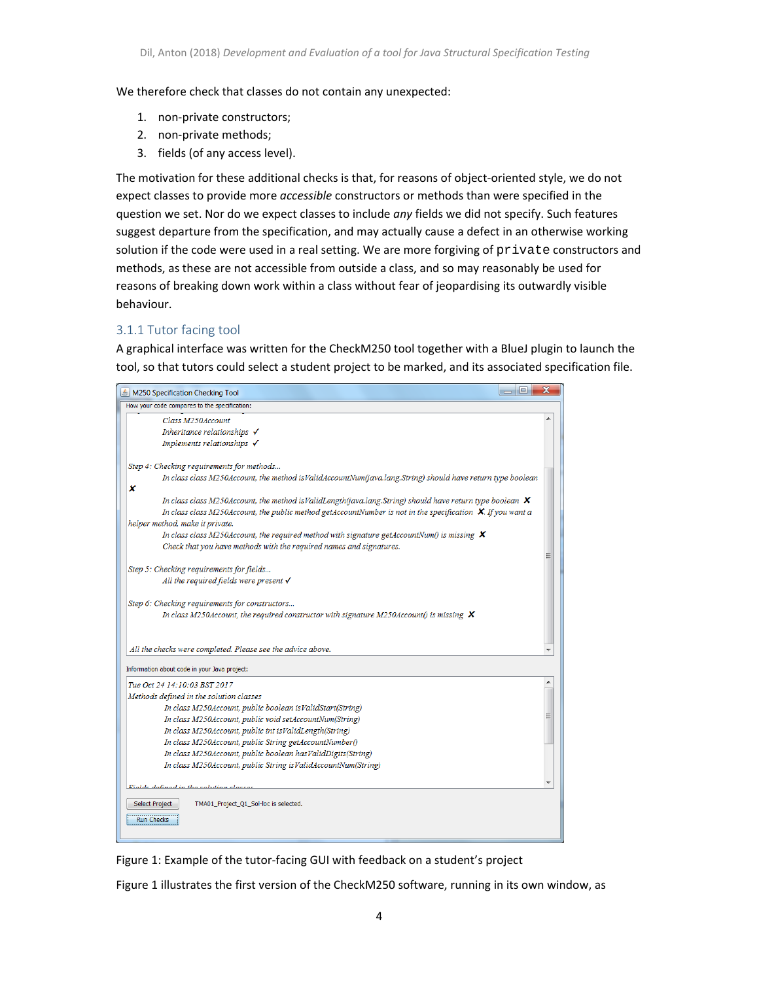We therefore check that classes do not contain any unexpected:

- 1. non‐private constructors;
- 2. non‐private methods;
- 3. fields (of any access level).

The motivation for these additional checks is that, for reasons of object-oriented style, we do not expect classes to provide more *accessible* constructors or methods than were specified in the question we set. Nor do we expect classes to include *any* fields we did not specify. Such features suggest departure from the specification, and may actually cause a defect in an otherwise working solution if the code were used in a real setting. We are more forgiving of private constructors and methods, as these are not accessible from outside a class, and so may reasonably be used for reasons of breaking down work within a class without fear of jeopardising its outwardly visible behaviour.

## 3.1.1 Tutor facing tool

A graphical interface was written for the CheckM250 tool together with a BlueJ plugin to launch the tool, so that tutors could select a student project to be marked, and its associated specification file.



Figure 1: Example of the tutor‐facing GUI with feedback on a student's project

Figure 1 illustrates the first version of the CheckM250 software, running in its own window, as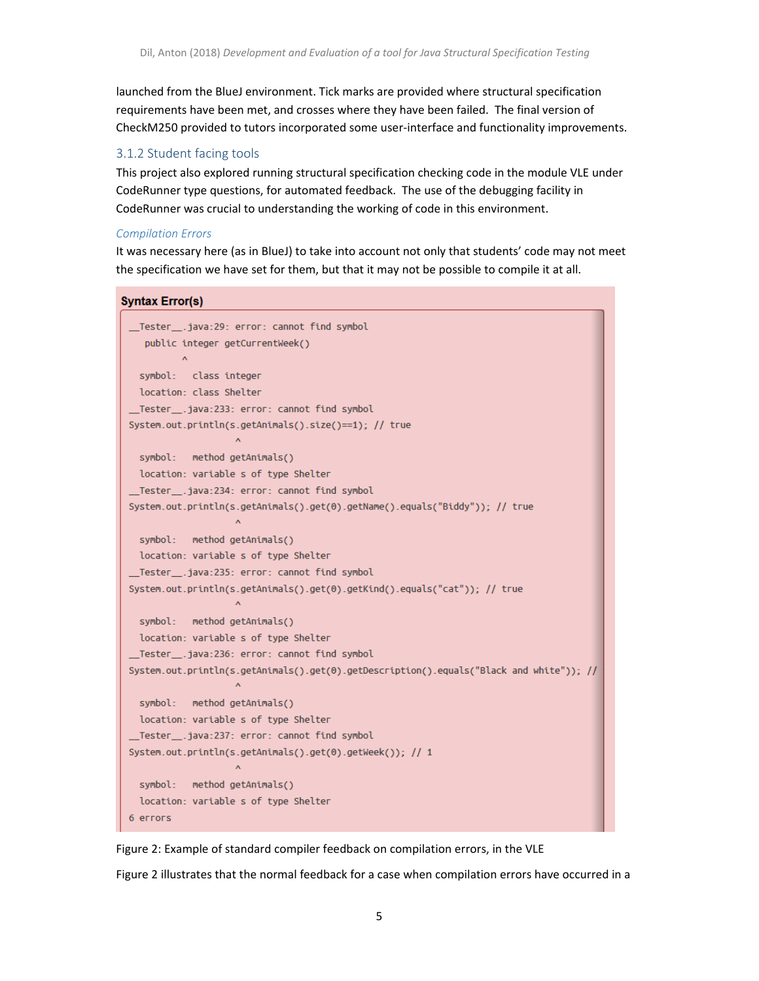launched from the BlueJ environment. Tick marks are provided where structural specification requirements have been met, and crosses where they have been failed. The final version of CheckM250 provided to tutors incorporated some user‐interface and functionality improvements.

#### 3.1.2 Student facing tools

This project also explored running structural specification checking code in the module VLE under CodeRunner type questions, for automated feedback. The use of the debugging facility in CodeRunner was crucial to understanding the working of code in this environment.

#### *Compilation Errors*

It was necessary here (as in BlueJ) to take into account not only that students' code may not meet the specification we have set for them, but that it may not be possible to compile it at all.

#### **Syntax Error(s)**

```
__Tester__.java:29: error: cannot find symbol
   public integer getCurrentWeek()
         \lambdasymbol: class integer
 location: class Shelter
__Tester__.java:233: error: cannot find symbol
System.out.println(s.getAnimals().size()==1); // true
                    \Lambdasymbol: method getAnimals()
 location: variable s of type Shelter
__Tester__.java:234: error: cannot find symbol
System.out.println(s.getAnimals().get(0).getName().equals("Biddy")); // true
                    \boldsymbol{\Lambda}symbol: method getAnimals()
 location: variable s of type Shelter
_Tester__.java:235: error: cannot find symbol
System.out.println(s.getAnimals().get(0).getKind().equals("cat")); // true
                    \Lambdasymbol: method getAnimals()
 location: variable s of type Shelter
__Tester__.java:236: error: cannot find symbol
System.out.println(s.getAnimals().get(0).getDescription().equals("Black and white")); //
                    \Lambdasymbol: method getAnimals()
 location: variable s of type Shelter
__Tester__.java:237: error: cannot find symbol
System.out.println(s.getAnimals().get(0).getWeek()); // 1
                    \Lambdasymbol: method getAnimals()
 location: variable s of type Shelter
6 errors
```
Figure 2: Example of standard compiler feedback on compilation errors, in the VLE

Figure 2 illustrates that the normal feedback for a case when compilation errors have occurred in a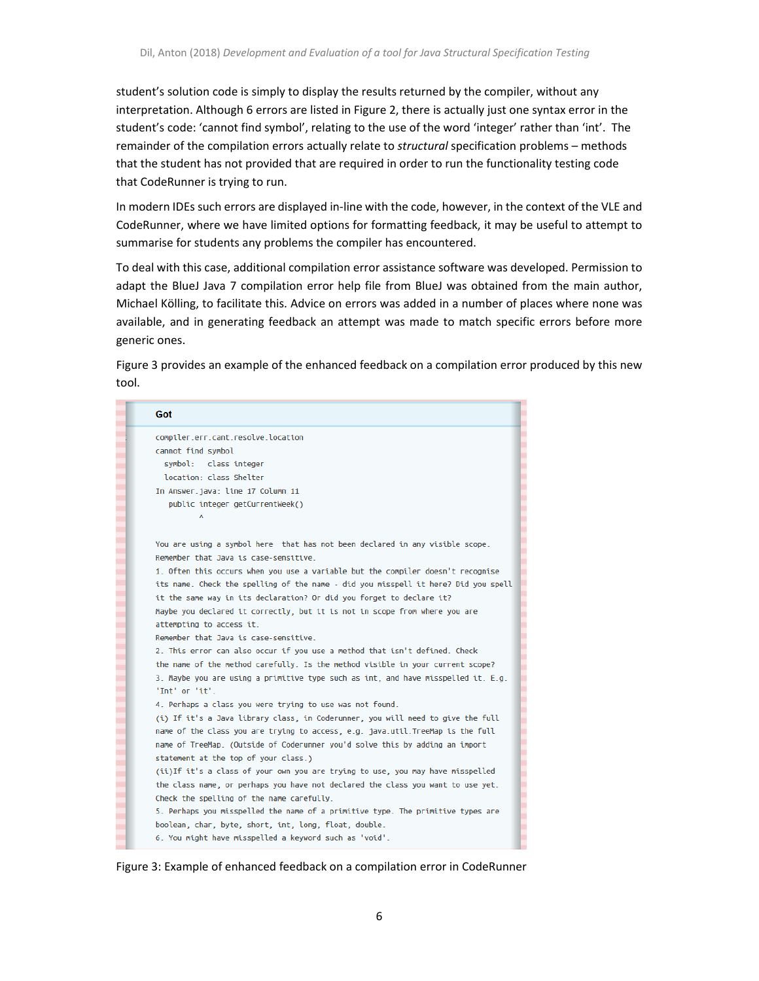student's solution code is simply to display the results returned by the compiler, without any interpretation. Although 6 errors are listed in Figure 2, there is actually just one syntax error in the student's code: 'cannot find symbol', relating to the use of the word 'integer' rather than 'int'. The remainder of the compilation errors actually relate to *structural* specification problems – methods that the student has not provided that are required in order to run the functionality testing code that CodeRunner is trying to run.

In modern IDEs such errors are displayed in-line with the code, however, in the context of the VLE and CodeRunner, where we have limited options for formatting feedback, it may be useful to attempt to summarise for students any problems the compiler has encountered.

To deal with this case, additional compilation error assistance software was developed. Permission to adapt the BlueJ Java 7 compilation error help file from BlueJ was obtained from the main author, Michael Kölling, to facilitate this. Advice on errors was added in a number of places where none was available, and in generating feedback an attempt was made to match specific errors before more generic ones.

Figure 3 provides an example of the enhanced feedback on a compilation error produced by this new tool.

| Got                                                                                                 |
|-----------------------------------------------------------------------------------------------------|
| compiler.err.cant.resolve.location                                                                  |
| cannot find symbol                                                                                  |
| symbol: class integer                                                                               |
| location: class Shelter                                                                             |
| In Answer.java: line 17 Column 11                                                                   |
| public integer getCurrentWeek()                                                                     |
|                                                                                                     |
|                                                                                                     |
| You are using a symbol here that has not been declared in any visible scope.                        |
| Remember that Java is case-sensitive                                                                |
| 1. Often this occurs when you use a variable but the compiler doesn't recognise                     |
| its name. Check the spelling of the name - did you misspell it here? Did you spell                  |
| it the same way in its declaration? Or did you forget to declare it?                                |
| Maybe you declared it correctly, but it is not in scope from where you are                          |
| attempting to access it.                                                                            |
| Remember that Java is case-sensitive.                                                               |
| 2. This error can also occur if you use a method that isn't defined. Check                          |
| the name of the method carefully. Is the method visible in your current scope?                      |
| 3. Maybe you are using a primitive type such as int, and have misspelled it. E.g.<br>'Int' or 'it'. |
| 4. Perhaps a class you were trying to use was not found.                                            |
| (i) If it's a Java library class, in Coderunner, you will need to give the full                     |
| name of the class you are trying to access, e.g. java.util.TreeMap is the full                      |
| name of TreeMap. (Outside of Coderunner you'd solve this by adding an import                        |
| statement at the top of your class.)                                                                |
| (ii)If it's a class of your own you are trying to use, you may have misspelled                      |
| the class name, or perhaps you have not declared the class you want to use yet.                     |
| Check the spelling of the name carefully.                                                           |
| 5. Perhaps you misspelled the name of a primitive type. The primitive types are                     |
| boolean, char, byte, short, int, long, float, double.                                               |
| 6. You might have misspelled a keyword such as 'void'.                                              |

Figure 3: Example of enhanced feedback on a compilation error in CodeRunner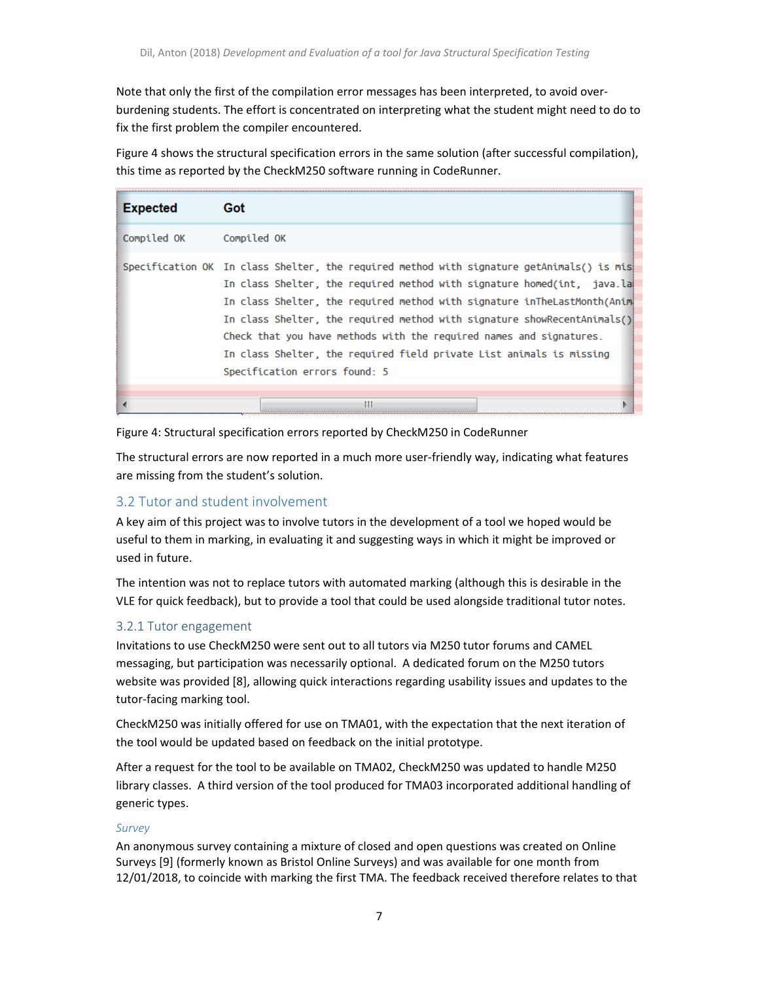Note that only the first of the compilation error messages has been interpreted, to avoid over‐ burdening students. The effort is concentrated on interpreting what the student might need to do to fix the first problem the compiler encountered.

Figure 4 shows the structural specification errors in the same solution (after successful compilation), this time as reported by the CheckM250 software running in CodeRunner.

| <b>Expected</b> | Got                                                                                                                                                                                                                                                                                                                                                                                                                                                                                                            |
|-----------------|----------------------------------------------------------------------------------------------------------------------------------------------------------------------------------------------------------------------------------------------------------------------------------------------------------------------------------------------------------------------------------------------------------------------------------------------------------------------------------------------------------------|
| Compiled OK     | Compiled OK                                                                                                                                                                                                                                                                                                                                                                                                                                                                                                    |
|                 | Specification OK In class Shelter, the required method with signature getAnimals() is mis<br>In class Shelter, the required method with signature homed(int, java.lai<br>In class Shelter, the required method with signature inTheLastMonth(Anima<br>In class Shelter, the required method with signature showRecentAnimals()<br>Check that you have methods with the required names and signatures.<br>In class Shelter, the required field private List animals is missing<br>Specification errors found: 5 |
|                 |                                                                                                                                                                                                                                                                                                                                                                                                                                                                                                                |

Figure 4: Structural specification errors reported by CheckM250 in CodeRunner

The structural errors are now reported in a much more user-friendly way, indicating what features are missing from the student's solution.

## 3.2 Tutor and student involvement

A key aim of this project was to involve tutors in the development of a tool we hoped would be useful to them in marking, in evaluating it and suggesting ways in which it might be improved or used in future.

The intention was not to replace tutors with automated marking (although this is desirable in the VLE for quick feedback), but to provide a tool that could be used alongside traditional tutor notes.

## 3.2.1 Tutor engagement

Invitations to use CheckM250 were sent out to all tutors via M250 tutor forums and CAMEL messaging, but participation was necessarily optional. A dedicated forum on the M250 tutors website was provided [8], allowing quick interactions regarding usability issues and updates to the tutor‐facing marking tool.

CheckM250 was initially offered for use on TMA01, with the expectation that the next iteration of the tool would be updated based on feedback on the initial prototype.

After a request for the tool to be available on TMA02, CheckM250 was updated to handle M250 library classes. A third version of the tool produced for TMA03 incorporated additional handling of generic types.

#### *Survey*

An anonymous survey containing a mixture of closed and open questions was created on Online Surveys [9] (formerly known as Bristol Online Surveys) and was available for one month from 12/01/2018, to coincide with marking the first TMA. The feedback received therefore relates to that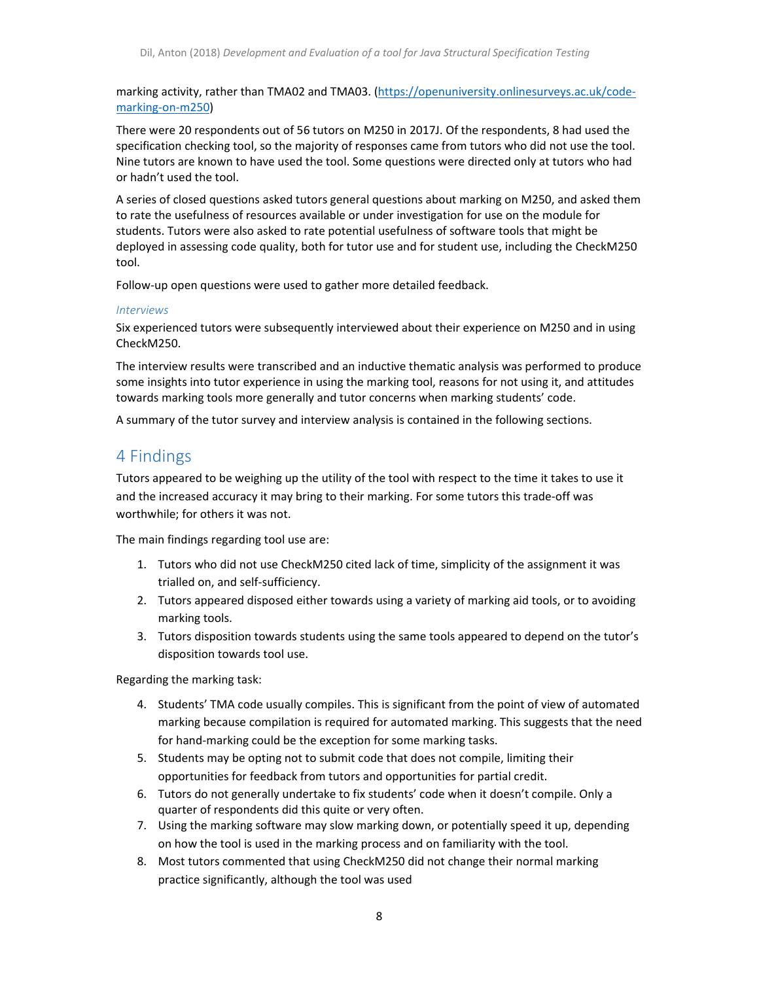marking activity, rather than TMA02 and TMA03. (https://openuniversity.onlinesurveys.ac.uk/code‐ marking‐on‐m250)

There were 20 respondents out of 56 tutors on M250 in 2017J. Of the respondents, 8 had used the specification checking tool, so the majority of responses came from tutors who did not use the tool. Nine tutors are known to have used the tool. Some questions were directed only at tutors who had or hadn't used the tool.

A series of closed questions asked tutors general questions about marking on M250, and asked them to rate the usefulness of resources available or under investigation for use on the module for students. Tutors were also asked to rate potential usefulness of software tools that might be deployed in assessing code quality, both for tutor use and for student use, including the CheckM250 tool.

Follow-up open questions were used to gather more detailed feedback.

#### *Interviews*

Six experienced tutors were subsequently interviewed about their experience on M250 and in using CheckM250.

The interview results were transcribed and an inductive thematic analysis was performed to produce some insights into tutor experience in using the marking tool, reasons for not using it, and attitudes towards marking tools more generally and tutor concerns when marking students' code.

A summary of the tutor survey and interview analysis is contained in the following sections.

# 4 Findings

Tutors appeared to be weighing up the utility of the tool with respect to the time it takes to use it and the increased accuracy it may bring to their marking. For some tutors this trade‐off was worthwhile; for others it was not.

The main findings regarding tool use are:

- 1. Tutors who did not use CheckM250 cited lack of time, simplicity of the assignment it was trialled on, and self‐sufficiency.
- 2. Tutors appeared disposed either towards using a variety of marking aid tools, or to avoiding marking tools.
- 3. Tutors disposition towards students using the same tools appeared to depend on the tutor's disposition towards tool use.

Regarding the marking task:

- 4. Students' TMA code usually compiles. This is significant from the point of view of automated marking because compilation is required for automated marking. This suggests that the need for hand‐marking could be the exception for some marking tasks.
- 5. Students may be opting not to submit code that does not compile, limiting their opportunities for feedback from tutors and opportunities for partial credit.
- 6. Tutors do not generally undertake to fix students' code when it doesn't compile. Only a quarter of respondents did this quite or very often.
- 7. Using the marking software may slow marking down, or potentially speed it up, depending on how the tool is used in the marking process and on familiarity with the tool.
- 8. Most tutors commented that using CheckM250 did not change their normal marking practice significantly, although the tool was used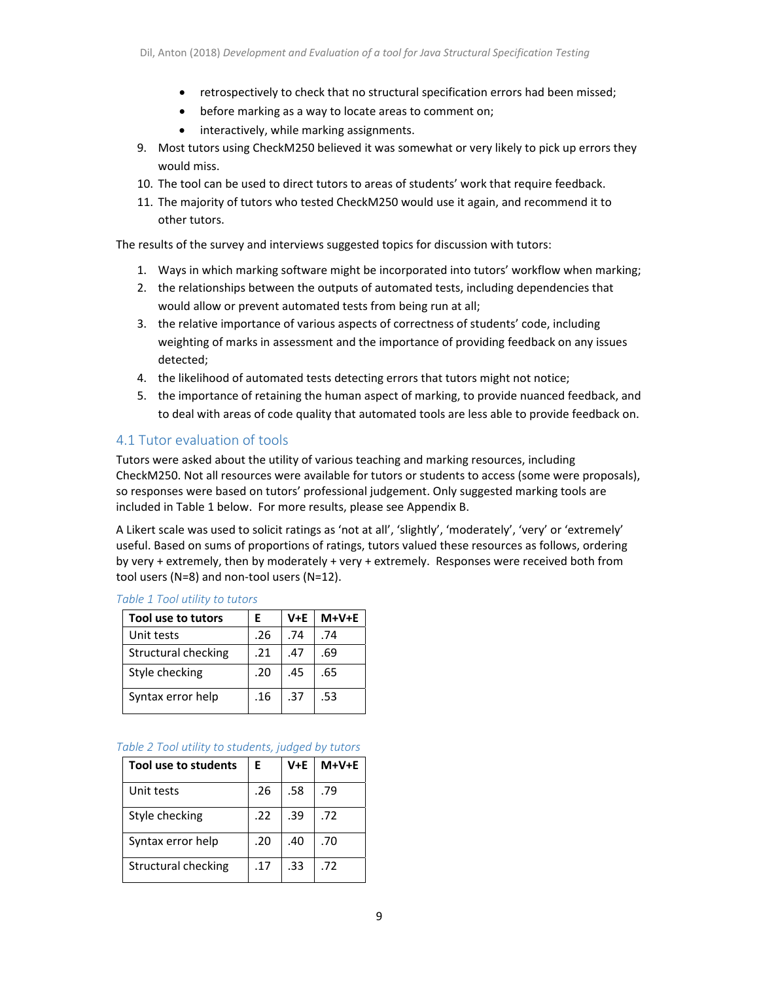- retrospectively to check that no structural specification errors had been missed;
- before marking as a way to locate areas to comment on;
- interactively, while marking assignments.
- 9. Most tutors using CheckM250 believed it was somewhat or very likely to pick up errors they would miss.
- 10. The tool can be used to direct tutors to areas of students' work that require feedback.
- 11. The majority of tutors who tested CheckM250 would use it again, and recommend it to other tutors.

The results of the survey and interviews suggested topics for discussion with tutors:

- 1. Ways in which marking software might be incorporated into tutors' workflow when marking;
- 2. the relationships between the outputs of automated tests, including dependencies that would allow or prevent automated tests from being run at all;
- 3. the relative importance of various aspects of correctness of students' code, including weighting of marks in assessment and the importance of providing feedback on any issues detected;
- 4. the likelihood of automated tests detecting errors that tutors might not notice;
- 5. the importance of retaining the human aspect of marking, to provide nuanced feedback, and to deal with areas of code quality that automated tools are less able to provide feedback on.

## 4.1 Tutor evaluation of tools

Tutors were asked about the utility of various teaching and marking resources, including CheckM250. Not all resources were available for tutors or students to access (some were proposals), so responses were based on tutors' professional judgement. Only suggested marking tools are included in Table 1 below. For more results, please see Appendix B.

A Likert scale was used to solicit ratings as 'not at all', 'slightly', 'moderately', 'very' or 'extremely' useful. Based on sums of proportions of ratings, tutors valued these resources as follows, ordering by very + extremely, then by moderately + very + extremely. Responses were received both from tool users (N=8) and non‐tool users (N=12).

| Tool use to tutors  | F   | V+E | $M+V+E$ |
|---------------------|-----|-----|---------|
| Unit tests          | .26 | .74 | .74     |
| Structural checking | .21 | .47 | .69     |
| Style checking      | .20 | .45 | .65     |
| Syntax error help   | .16 | .37 | .53     |

#### *Table 1 Tool utility to tutors*

#### *Table 2 Tool utility to students, judged by tutors*

| Tool use to students       | Ε   | V+E | $M+V+E$ |
|----------------------------|-----|-----|---------|
| Unit tests                 | .26 | .58 | .79     |
| Style checking             | .22 | .39 | .72     |
| Syntax error help          | .20 | .40 | .70     |
| <b>Structural checking</b> | .17 | .33 | .72     |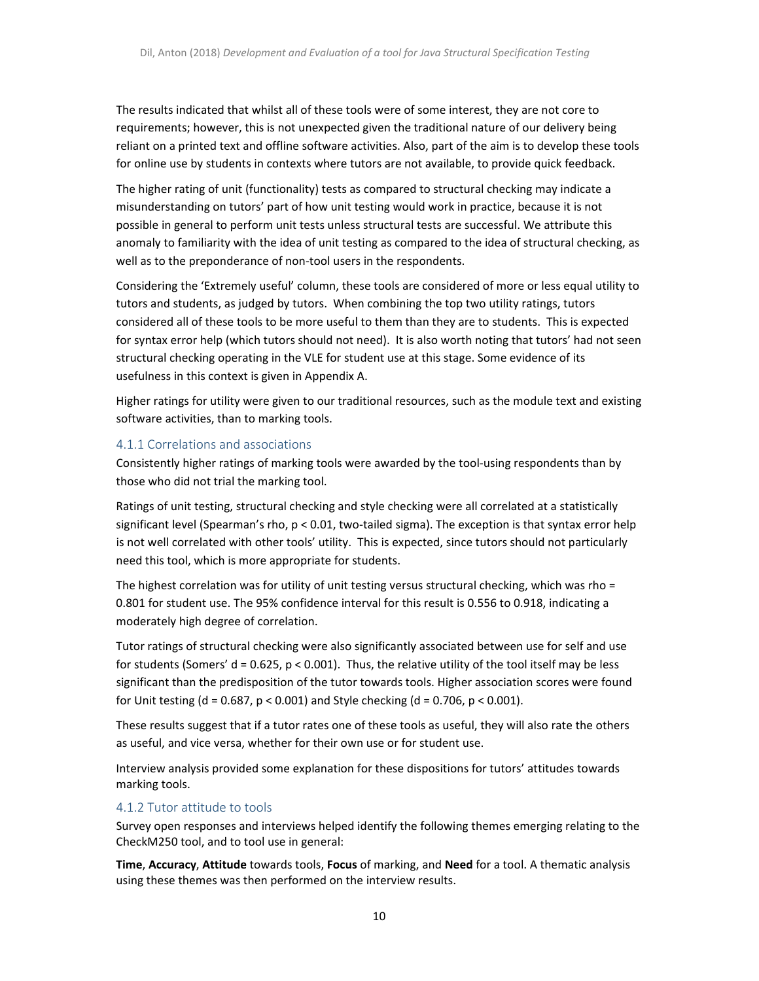The results indicated that whilst all of these tools were of some interest, they are not core to requirements; however, this is not unexpected given the traditional nature of our delivery being reliant on a printed text and offline software activities. Also, part of the aim is to develop these tools for online use by students in contexts where tutors are not available, to provide quick feedback.

The higher rating of unit (functionality) tests as compared to structural checking may indicate a misunderstanding on tutors' part of how unit testing would work in practice, because it is not possible in general to perform unit tests unless structural tests are successful. We attribute this anomaly to familiarity with the idea of unit testing as compared to the idea of structural checking, as well as to the preponderance of non-tool users in the respondents.

Considering the 'Extremely useful' column, these tools are considered of more or less equal utility to tutors and students, as judged by tutors. When combining the top two utility ratings, tutors considered all of these tools to be more useful to them than they are to students. This is expected for syntax error help (which tutors should not need). It is also worth noting that tutors' had not seen structural checking operating in the VLE for student use at this stage. Some evidence of its usefulness in this context is given in Appendix A.

Higher ratings for utility were given to our traditional resources, such as the module text and existing software activities, than to marking tools.

#### 4.1.1 Correlations and associations

Consistently higher ratings of marking tools were awarded by the tool‐using respondents than by those who did not trial the marking tool.

Ratings of unit testing, structural checking and style checking were all correlated at a statistically significant level (Spearman's rho,  $p < 0.01$ , two-tailed sigma). The exception is that syntax error help is not well correlated with other tools' utility. This is expected, since tutors should not particularly need this tool, which is more appropriate for students.

The highest correlation was for utility of unit testing versus structural checking, which was rho = 0.801 for student use. The 95% confidence interval for this result is 0.556 to 0.918, indicating a moderately high degree of correlation.

Tutor ratings of structural checking were also significantly associated between use for self and use for students (Somers'  $d = 0.625$ ,  $p < 0.001$ ). Thus, the relative utility of the tool itself may be less significant than the predisposition of the tutor towards tools. Higher association scores were found for Unit testing (d = 0.687,  $p < 0.001$ ) and Style checking (d = 0.706,  $p < 0.001$ ).

These results suggest that if a tutor rates one of these tools as useful, they will also rate the others as useful, and vice versa, whether for their own use or for student use.

Interview analysis provided some explanation for these dispositions for tutors' attitudes towards marking tools.

#### 4.1.2 Tutor attitude to tools

Survey open responses and interviews helped identify the following themes emerging relating to the CheckM250 tool, and to tool use in general:

**Time**, **Accuracy**, **Attitude** towards tools, **Focus** of marking, and **Need** for a tool. A thematic analysis using these themes was then performed on the interview results.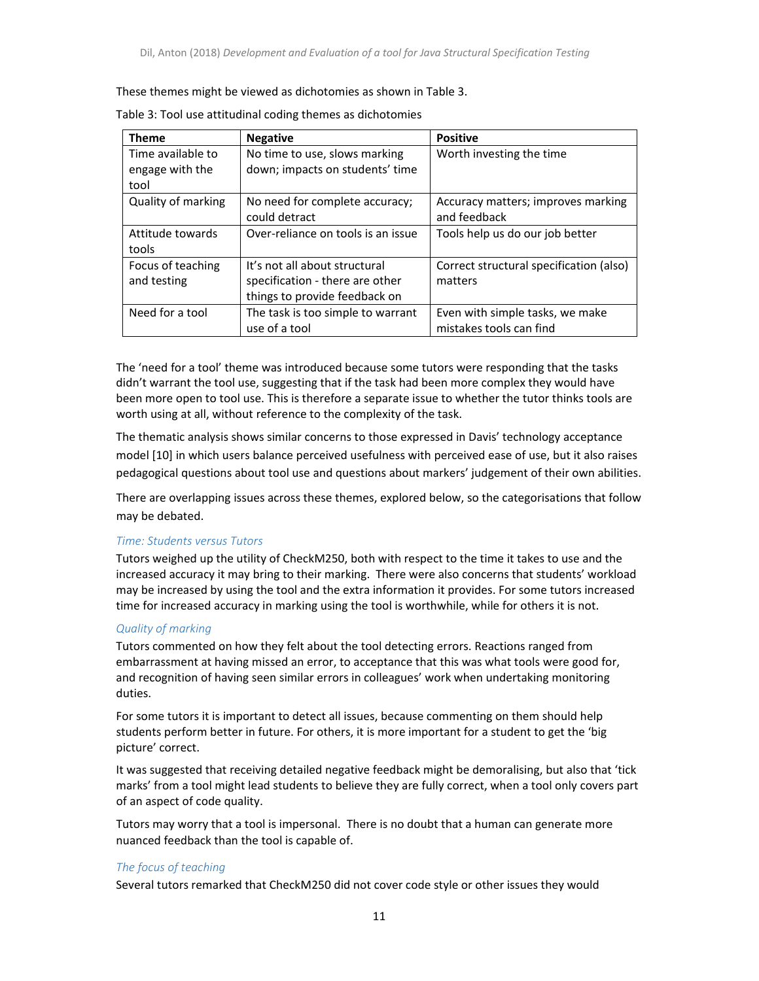#### These themes might be viewed as dichotomies as shown in Table 3.

| <b>Theme</b>              | <b>Negative</b>                    | <b>Positive</b>                         |
|---------------------------|------------------------------------|-----------------------------------------|
| Time available to         | No time to use, slows marking      | Worth investing the time                |
| engage with the           | down; impacts on students' time    |                                         |
| tool                      |                                    |                                         |
| <b>Quality of marking</b> | No need for complete accuracy;     | Accuracy matters; improves marking      |
|                           | could detract                      | and feedback                            |
| Attitude towards          | Over-reliance on tools is an issue | Tools help us do our job better         |
| tools                     |                                    |                                         |
| Focus of teaching         | It's not all about structural      | Correct structural specification (also) |
| and testing               | specification - there are other    | matters                                 |
|                           | things to provide feedback on      |                                         |
| Need for a tool           | The task is too simple to warrant  | Even with simple tasks, we make         |
|                           | use of a tool                      | mistakes tools can find                 |

The 'need for a tool' theme was introduced because some tutors were responding that the tasks didn't warrant the tool use, suggesting that if the task had been more complex they would have been more open to tool use. This is therefore a separate issue to whether the tutor thinks tools are worth using at all, without reference to the complexity of the task.

The thematic analysis shows similar concerns to those expressed in Davis' technology acceptance model [10] in which users balance perceived usefulness with perceived ease of use, but it also raises pedagogical questions about tool use and questions about markers' judgement of their own abilities.

There are overlapping issues across these themes, explored below, so the categorisations that follow may be debated.

#### *Time: Students versus Tutors*

Tutors weighed up the utility of CheckM250, both with respect to the time it takes to use and the increased accuracy it may bring to their marking. There were also concerns that students' workload may be increased by using the tool and the extra information it provides. For some tutors increased time for increased accuracy in marking using the tool is worthwhile, while for others it is not.

#### *Quality of marking*

Tutors commented on how they felt about the tool detecting errors. Reactions ranged from embarrassment at having missed an error, to acceptance that this was what tools were good for, and recognition of having seen similar errors in colleagues' work when undertaking monitoring duties.

For some tutors it is important to detect all issues, because commenting on them should help students perform better in future. For others, it is more important for a student to get the 'big picture' correct.

It was suggested that receiving detailed negative feedback might be demoralising, but also that 'tick marks' from a tool might lead students to believe they are fully correct, when a tool only covers part of an aspect of code quality.

Tutors may worry that a tool is impersonal. There is no doubt that a human can generate more nuanced feedback than the tool is capable of.

#### *The focus of teaching*

Several tutors remarked that CheckM250 did not cover code style or other issues they would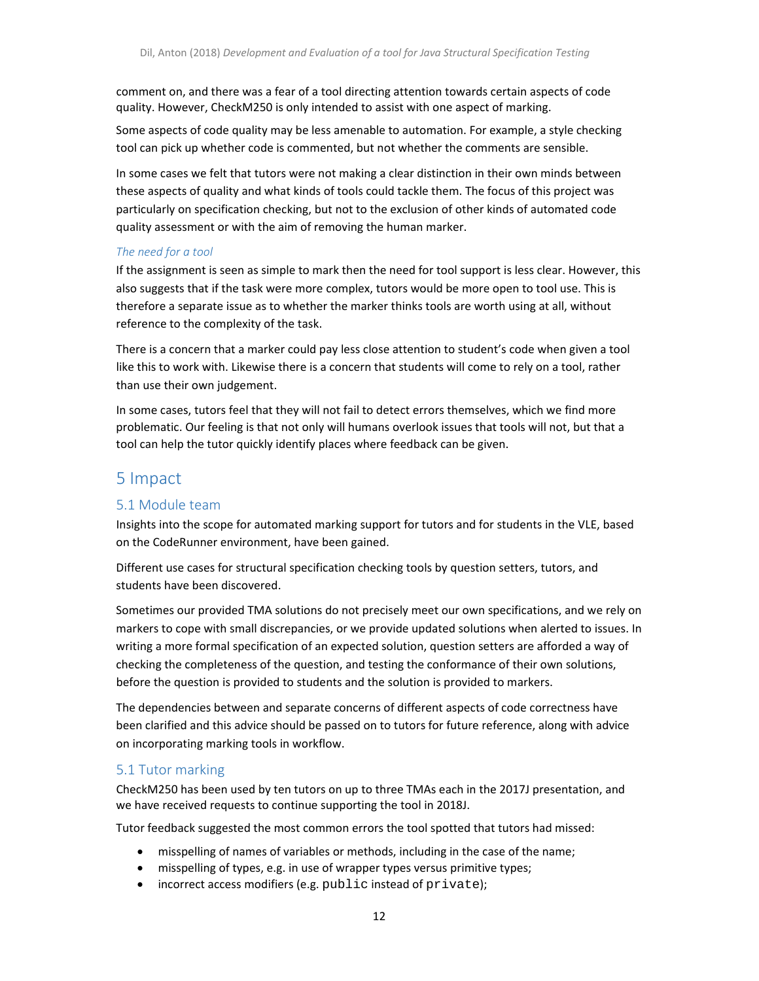comment on, and there was a fear of a tool directing attention towards certain aspects of code quality. However, CheckM250 is only intended to assist with one aspect of marking.

Some aspects of code quality may be less amenable to automation. For example, a style checking tool can pick up whether code is commented, but not whether the comments are sensible.

In some cases we felt that tutors were not making a clear distinction in their own minds between these aspects of quality and what kinds of tools could tackle them. The focus of this project was particularly on specification checking, but not to the exclusion of other kinds of automated code quality assessment or with the aim of removing the human marker.

#### *The need for a tool*

If the assignment is seen as simple to mark then the need for tool support is less clear. However, this also suggests that if the task were more complex, tutors would be more open to tool use. This is therefore a separate issue as to whether the marker thinks tools are worth using at all, without reference to the complexity of the task.

There is a concern that a marker could pay less close attention to student's code when given a tool like this to work with. Likewise there is a concern that students will come to rely on a tool, rather than use their own judgement.

In some cases, tutors feel that they will not fail to detect errors themselves, which we find more problematic. Our feeling is that not only will humans overlook issues that tools will not, but that a tool can help the tutor quickly identify places where feedback can be given.

# 5 Impact

## 5.1 Module team

Insights into the scope for automated marking support for tutors and for students in the VLE, based on the CodeRunner environment, have been gained.

Different use cases for structural specification checking tools by question setters, tutors, and students have been discovered.

Sometimes our provided TMA solutions do not precisely meet our own specifications, and we rely on markers to cope with small discrepancies, or we provide updated solutions when alerted to issues. In writing a more formal specification of an expected solution, question setters are afforded a way of checking the completeness of the question, and testing the conformance of their own solutions, before the question is provided to students and the solution is provided to markers.

The dependencies between and separate concerns of different aspects of code correctness have been clarified and this advice should be passed on to tutors for future reference, along with advice on incorporating marking tools in workflow.

## 5.1 Tutor marking

CheckM250 has been used by ten tutors on up to three TMAs each in the 2017J presentation, and we have received requests to continue supporting the tool in 2018J.

Tutor feedback suggested the most common errors the tool spotted that tutors had missed:

- misspelling of names of variables or methods, including in the case of the name;
- misspelling of types, e.g. in use of wrapper types versus primitive types;
- incorrect access modifiers (e.g. public instead of private);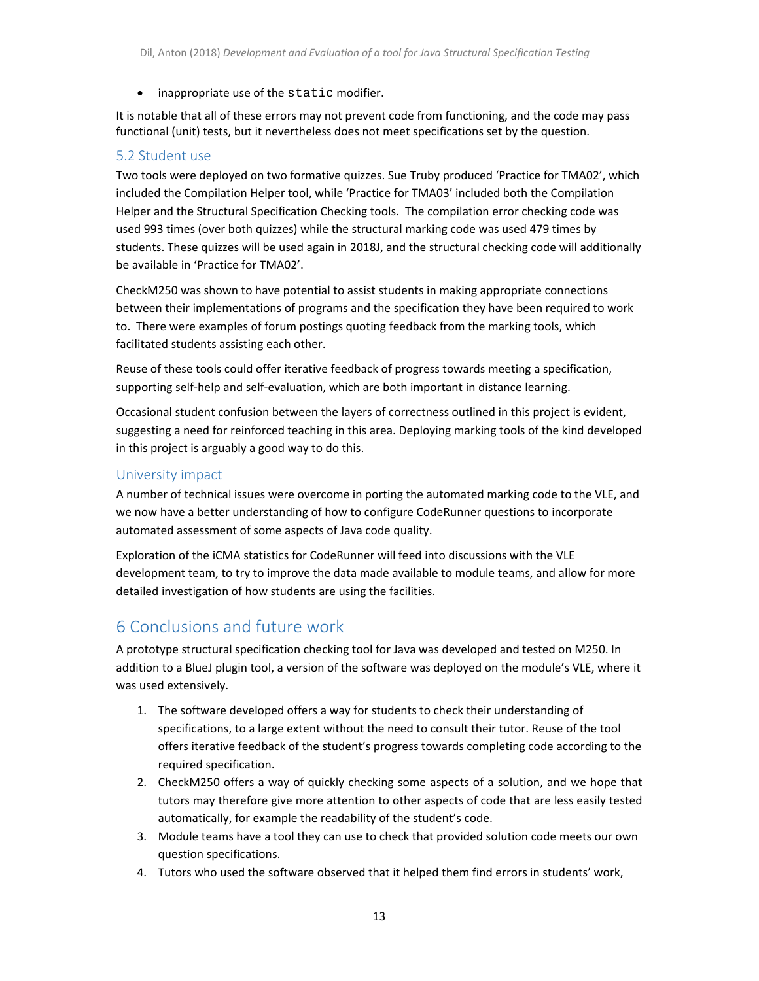• inappropriate use of the static modifier.

It is notable that all of these errors may not prevent code from functioning, and the code may pass functional (unit) tests, but it nevertheless does not meet specifications set by the question.

### 5.2 Student use

Two tools were deployed on two formative quizzes. Sue Truby produced 'Practice for TMA02', which included the Compilation Helper tool, while 'Practice for TMA03' included both the Compilation Helper and the Structural Specification Checking tools. The compilation error checking code was used 993 times (over both quizzes) while the structural marking code was used 479 times by students. These quizzes will be used again in 2018J, and the structural checking code will additionally be available in 'Practice for TMA02'.

CheckM250 was shown to have potential to assist students in making appropriate connections between their implementations of programs and the specification they have been required to work to. There were examples of forum postings quoting feedback from the marking tools, which facilitated students assisting each other.

Reuse of these tools could offer iterative feedback of progress towards meeting a specification, supporting self-help and self-evaluation, which are both important in distance learning.

Occasional student confusion between the layers of correctness outlined in this project is evident, suggesting a need for reinforced teaching in this area. Deploying marking tools of the kind developed in this project is arguably a good way to do this.

## University impact

A number of technical issues were overcome in porting the automated marking code to the VLE, and we now have a better understanding of how to configure CodeRunner questions to incorporate automated assessment of some aspects of Java code quality.

Exploration of the iCMA statistics for CodeRunner will feed into discussions with the VLE development team, to try to improve the data made available to module teams, and allow for more detailed investigation of how students are using the facilities.

# 6 Conclusions and future work

A prototype structural specification checking tool for Java was developed and tested on M250. In addition to a BlueJ plugin tool, a version of the software was deployed on the module's VLE, where it was used extensively.

- 1. The software developed offers a way for students to check their understanding of specifications, to a large extent without the need to consult their tutor. Reuse of the tool offers iterative feedback of the student's progress towards completing code according to the required specification.
- 2. CheckM250 offers a way of quickly checking some aspects of a solution, and we hope that tutors may therefore give more attention to other aspects of code that are less easily tested automatically, for example the readability of the student's code.
- 3. Module teams have a tool they can use to check that provided solution code meets our own question specifications.
- 4. Tutors who used the software observed that it helped them find errors in students' work,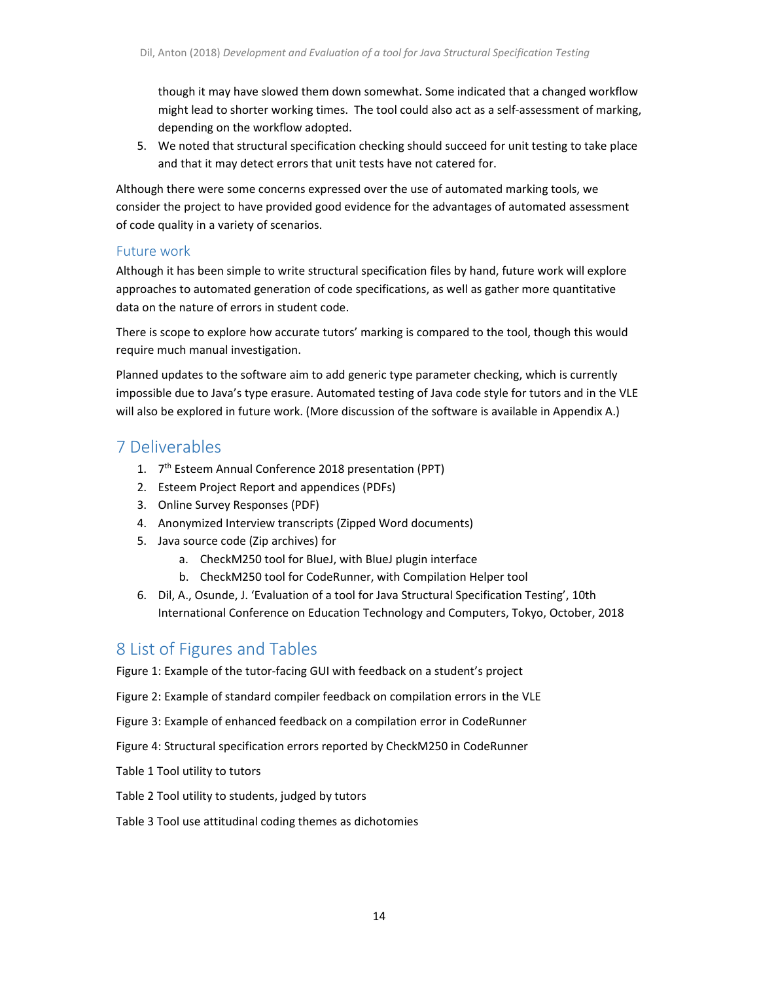though it may have slowed them down somewhat. Some indicated that a changed workflow might lead to shorter working times. The tool could also act as a self‐assessment of marking, depending on the workflow adopted.

5. We noted that structural specification checking should succeed for unit testing to take place and that it may detect errors that unit tests have not catered for.

Although there were some concerns expressed over the use of automated marking tools, we consider the project to have provided good evidence for the advantages of automated assessment of code quality in a variety of scenarios.

## Future work

Although it has been simple to write structural specification files by hand, future work will explore approaches to automated generation of code specifications, as well as gather more quantitative data on the nature of errors in student code.

There is scope to explore how accurate tutors' marking is compared to the tool, though this would require much manual investigation.

Planned updates to the software aim to add generic type parameter checking, which is currently impossible due to Java's type erasure. Automated testing of Java code style for tutors and in the VLE will also be explored in future work. (More discussion of the software is available in Appendix A.)

# 7 Deliverables

- 1. 7<sup>th</sup> Esteem Annual Conference 2018 presentation (PPT)
- 2. Esteem Project Report and appendices (PDFs)
- 3. Online Survey Responses (PDF)
- 4. Anonymized Interview transcripts (Zipped Word documents)
- 5. Java source code (Zip archives) for
	- a. CheckM250 tool for BlueJ, with BlueJ plugin interface
	- b. CheckM250 tool for CodeRunner, with Compilation Helper tool
- 6. Dil, A., Osunde, J. 'Evaluation of a tool for Java Structural Specification Testing', 10th International Conference on Education Technology and Computers, Tokyo, October, 2018

# 8 List of Figures and Tables

Figure 1: Example of the tutor-facing GUI with feedback on a student's project

Figure 2: Example of standard compiler feedback on compilation errors in the VLE

Figure 3: Example of enhanced feedback on a compilation error in CodeRunner

Figure 4: Structural specification errors reported by CheckM250 in CodeRunner

Table 1 Tool utility to tutors

Table 2 Tool utility to students, judged by tutors

Table 3 Tool use attitudinal coding themes as dichotomies